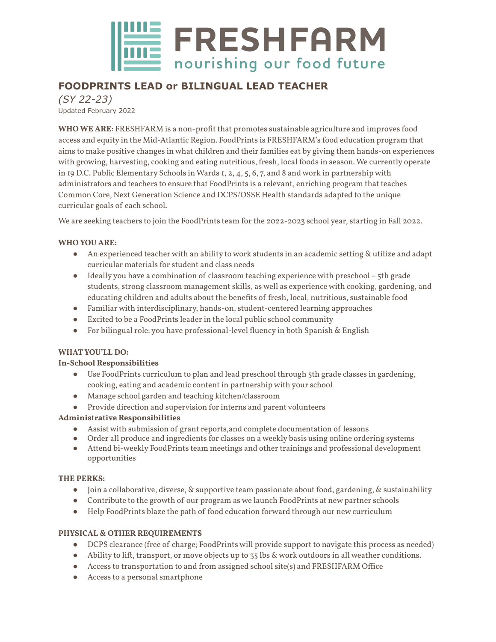

# **FOODPRINTS LEAD or BILINGUAL LEAD TEACHER**

*(SY 22-23)* Updated February 2022

**WHO WE ARE**: FRESHFARM is a non-profit that promotes sustainable agriculture and improves food access and equity in the Mid-Atlantic Region. FoodPrints is FRESHFARM's food education program that aims to make positive changes in what children and their families eat by giving them hands-on experiences with growing, harvesting, cooking and eating nutritious, fresh, local foods in season. We currently operate in 19 D.C. Public Elementary Schools in Wards 1, 2, 4, 5, 6, 7, and 8 and work in partnership with administrators and teachers to ensure that FoodPrints is a relevant, enriching program that teaches Common Core, Next Generation Science and DCPS/OSSE Health standards adapted to the unique curricular goals of each school.

We are seeking teachers to join the FoodPrints team for the 2022-2023 school year, starting in Fall 2022.

### **WHO YOU ARE:**

- An experienced teacher with an ability to work students in an academic setting & utilize and adapt curricular materials for student and class needs
- Ideally you have a combination of classroom teaching experience with preschool 5th grade students, strong classroom management skills, as well as experience with cooking, gardening, and educating children and adults about the benefits of fresh, local, nutritious, sustainable food
- Familiar with interdisciplinary, hands-on, student-centered learning approaches
- Excited to be a FoodPrints leader in the local public school community
- For bilingual role: you have professional-level fluency in both Spanish & English

#### **WHATYOU'LL DO:**

#### **In-School Responsibilities**

- Use FoodPrints curriculum to plan and lead preschool through 5th grade classes in gardening, cooking, eating and academic content in partnership with your school
- Manage school garden and teaching kitchen/classroom
- Provide direction and supervision for interns and parent volunteers

## **Administrative Responsibilities**

- Assist with submission of grant reports,and complete documentation of lessons
- Order all produce and ingredients for classes on a weekly basis using online ordering systems
- Attend bi-weekly FoodPrints team meetings and other trainings and professional development opportunities

#### **THE PERKS:**

- Join a collaborative, diverse, & supportive team passionate about food, gardening, & sustainability
- Contribute to the growth of our program as we launch FoodPrints at new partner schools
- Help FoodPrints blaze the path of food education forward through our new curriculum

#### **PHYSICAL & OTHER REQUIREMENTS**

- DCPS clearance (free of charge; FoodPrints will provide support to navigate this process as needed)
- Ability to lift, transport, or move objects up to 35 lbs & work outdoors in all weather conditions.
- Access to transportation to and from assigned school site(s) and FRESHFARM Office
- Access to a personal smartphone